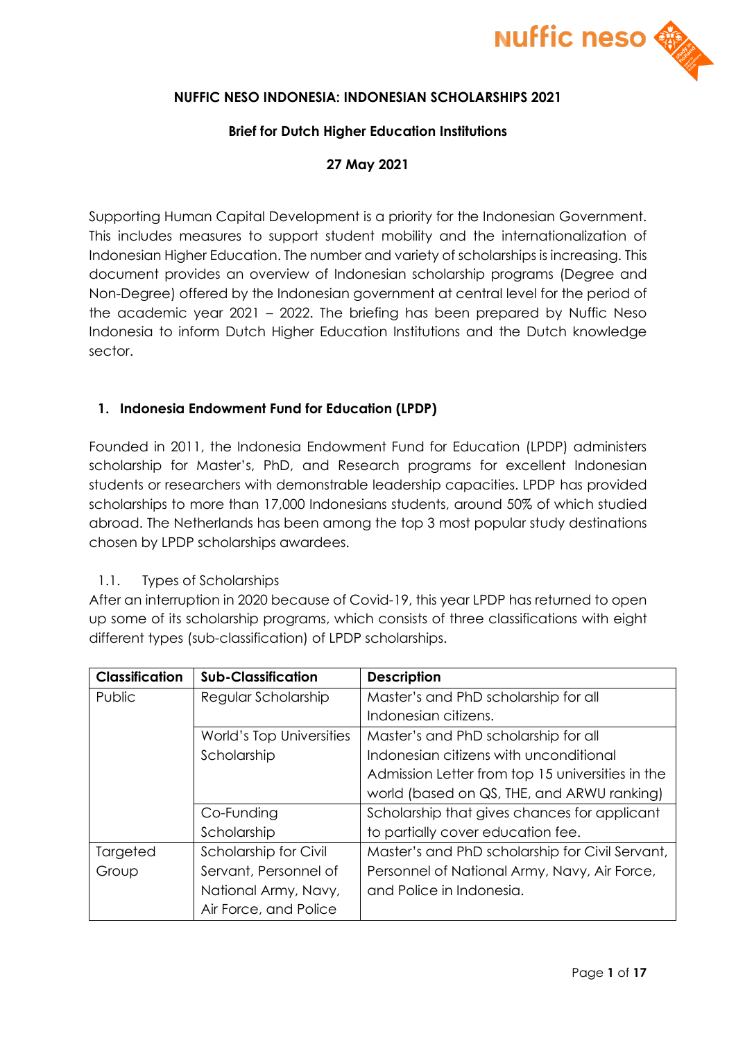

### **NUFFIC NESO INDONESIA: INDONESIAN SCHOLARSHIPS 2021**

#### **Brief for Dutch Higher Education Institutions**

### **27 May 2021**

Supporting Human Capital Development is a priority for the Indonesian Government. This includes measures to support student mobility and the internationalization of Indonesian Higher Education. The number and variety of scholarships is increasing. This document provides an overview of Indonesian scholarship programs (Degree and Non-Degree) offered by the Indonesian government at central level for the period of the academic year 2021 – 2022. The briefing has been prepared by Nuffic Neso Indonesia to inform Dutch Higher Education Institutions and the Dutch knowledge sector.

### **1. Indonesia Endowment Fund for Education (LPDP)**

Founded in 2011, the Indonesia Endowment Fund for Education (LPDP) administers scholarship for Master's, PhD, and Research programs for excellent Indonesian students or researchers with demonstrable leadership capacities. LPDP has provided scholarships to more than 17,000 Indonesians students, around 50% of which studied abroad. The Netherlands has been among the top 3 most popular study destinations chosen by LPDP scholarships awardees.

#### 1.1. Types of Scholarships

After an interruption in 2020 because of Covid-19, this year LPDP has returned to open up some of its scholarship programs, which consists of three classifications with eight different types (sub-classification) of LPDP scholarships.

| <b>Classification</b> | <b>Sub-Classification</b> | <b>Description</b>                               |
|-----------------------|---------------------------|--------------------------------------------------|
| Public                | Regular Scholarship       | Master's and PhD scholarship for all             |
|                       |                           | Indonesian citizens.                             |
|                       | World's Top Universities  | Master's and PhD scholarship for all             |
|                       | Scholarship               | Indonesian citizens with unconditional           |
|                       |                           | Admission Letter from top 15 universities in the |
|                       |                           | world (based on QS, THE, and ARWU ranking)       |
|                       | Co-Funding                | Scholarship that gives chances for applicant     |
|                       | Scholarship               | to partially cover education fee.                |
| Targeted              | Scholarship for Civil     | Master's and PhD scholarship for Civil Servant,  |
| Group                 | Servant, Personnel of     | Personnel of National Army, Navy, Air Force,     |
|                       | National Army, Navy,      | and Police in Indonesia.                         |
|                       | Air Force, and Police     |                                                  |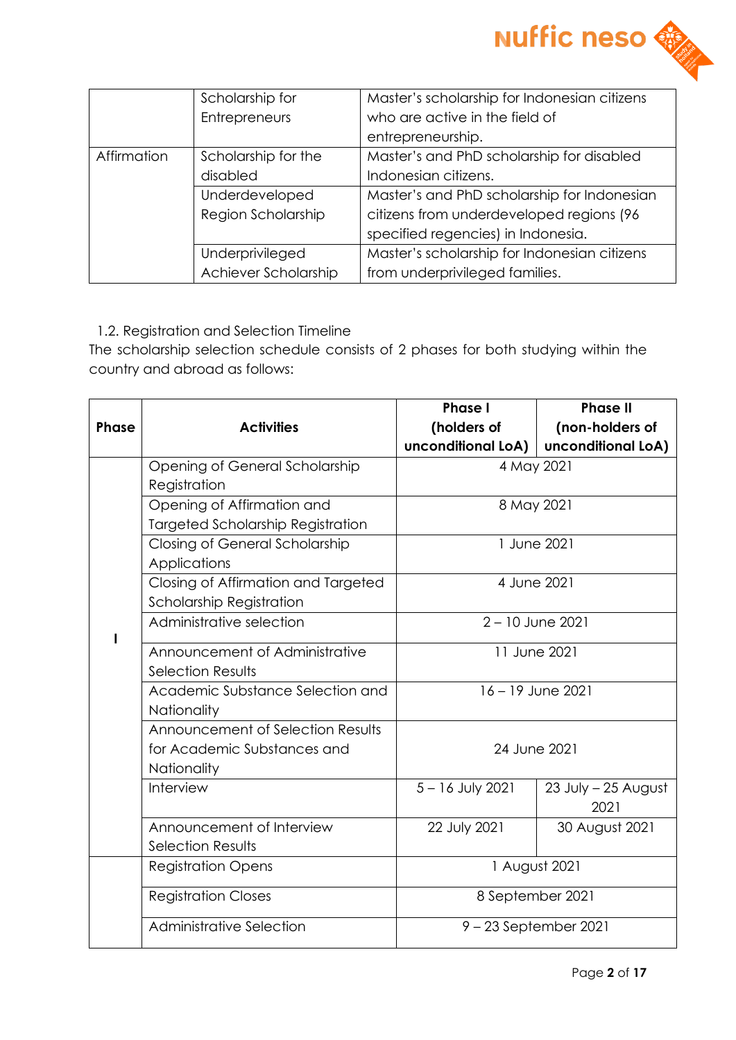

|               | Scholarship for      | Master's scholarship for Indonesian citizens |
|---------------|----------------------|----------------------------------------------|
| Entrepreneurs |                      | who are active in the field of               |
|               |                      | entrepreneurship.                            |
| Affirmation   | Scholarship for the  | Master's and PhD scholarship for disabled    |
|               | disabled             | Indonesian citizens.                         |
|               | Underdeveloped       | Master's and PhD scholarship for Indonesian  |
|               | Region Scholarship   | citizens from underdeveloped regions (96     |
|               |                      | specified regencies) in Indonesia.           |
|               | Underprivileged      | Master's scholarship for Indonesian citizens |
|               | Achiever Scholarship | from underprivileged families.               |

### 1.2. Registration and Selection Timeline

The scholarship selection schedule consists of 2 phases for both studying within the country and abroad as follows:

|              |                                          | <b>Phase I</b>          | <b>Phase II</b>             |  |
|--------------|------------------------------------------|-------------------------|-----------------------------|--|
| <b>Phase</b> | <b>Activities</b>                        | (holders of             | (non-holders of             |  |
|              |                                          | unconditional LoA)      | unconditional LoA)          |  |
|              | Opening of General Scholarship           | 4 May 2021              |                             |  |
|              | Registration                             |                         |                             |  |
|              | Opening of Affirmation and               |                         | 8 May 2021                  |  |
|              | <b>Targeted Scholarship Registration</b> |                         |                             |  |
|              | Closing of General Scholarship           | 1 June 2021             |                             |  |
|              | Applications                             |                         |                             |  |
|              | Closing of Affirmation and Targeted      | 4 June 2021             |                             |  |
|              | Scholarship Registration                 |                         |                             |  |
|              | Administrative selection                 | $2 - 10$ June 2021      |                             |  |
|              | Announcement of Administrative           | 11 June 2021            |                             |  |
|              | <b>Selection Results</b>                 |                         |                             |  |
|              | Academic Substance Selection and         | 16 - 19 June 2021       |                             |  |
|              | Nationality                              |                         |                             |  |
|              | Announcement of Selection Results        |                         |                             |  |
|              | for Academic Substances and              | 24 June 2021            |                             |  |
|              | <b>Nationality</b>                       |                         |                             |  |
|              | Interview                                | 5-16 July 2021          | 23 July - 25 August<br>2021 |  |
|              | Announcement of Interview                | 22 July 2021            | 30 August 2021              |  |
|              | <b>Selection Results</b>                 |                         |                             |  |
|              | <b>Registration Opens</b>                | 1 August 2021           |                             |  |
|              | <b>Registration Closes</b>               | 8 September 2021        |                             |  |
|              | Administrative Selection                 | $9 - 23$ September 2021 |                             |  |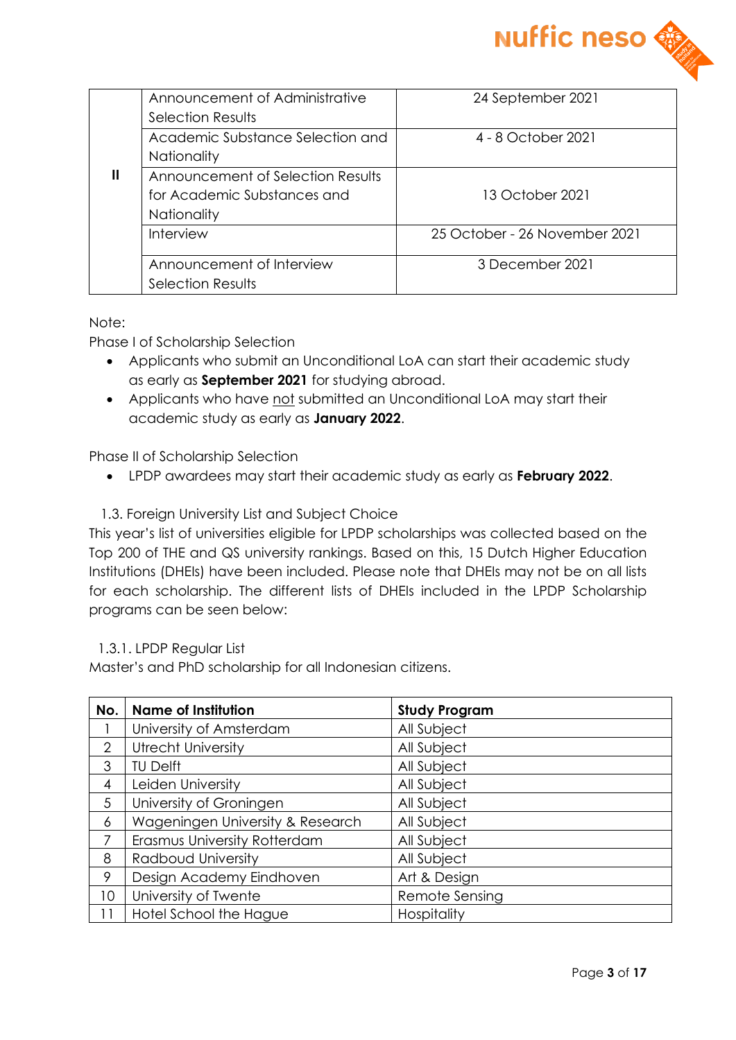

|   | Announcement of Administrative    | 24 September 2021             |
|---|-----------------------------------|-------------------------------|
|   | Selection Results                 |                               |
|   | Academic Substance Selection and  | 4 - 8 October 2021            |
|   | <b>Nationality</b>                |                               |
| Ш | Announcement of Selection Results |                               |
|   | for Academic Substances and       | 13 October 2021               |
|   | <b>Nationality</b>                |                               |
|   | Interview                         | 25 October - 26 November 2021 |
|   |                                   |                               |
|   | Announcement of Interview         | 3 December 2021               |
|   | Selection Results                 |                               |

Note:

Phase I of Scholarship Selection

- Applicants who submit an Unconditional LoA can start their academic study as early as **September 2021** for studying abroad.
- Applicants who have not submitted an Unconditional LoA may start their academic study as early as **January 2022**.

Phase II of Scholarship Selection

- LPDP awardees may start their academic study as early as **February 2022**.
- 1.3. Foreign University List and Subject Choice

This year's list of universities eligible for LPDP scholarships was collected based on the Top 200 of THE and QS university rankings. Based on this, 15 Dutch Higher Education Institutions (DHEIs) have been included. Please note that DHEIs may not be on all lists for each scholarship. The different lists of DHEIs included in the LPDP Scholarship programs can be seen below:

#### 1.3.1. LPDP Regular List

Master's and PhD scholarship for all Indonesian citizens.

| No.             | <b>Name of Institution</b>       | <b>Study Program</b> |
|-----------------|----------------------------------|----------------------|
|                 | University of Amsterdam          | All Subject          |
| 2               | <b>Utrecht University</b>        | All Subject          |
| 3               | <b>TU Delft</b>                  | All Subject          |
| 4               | Leiden University                | All Subject          |
| 5               | University of Groningen          | All Subject          |
| 6               | Wageningen University & Research | All Subject          |
| 7               | Erasmus University Rotterdam     | All Subject          |
| 8               | Radboud University               | All Subject          |
| 9               | Design Academy Eindhoven         | Art & Design         |
| 10 <sup>°</sup> | University of Twente             | Remote Sensing       |
| 11              | Hotel School the Hague           | Hospitality          |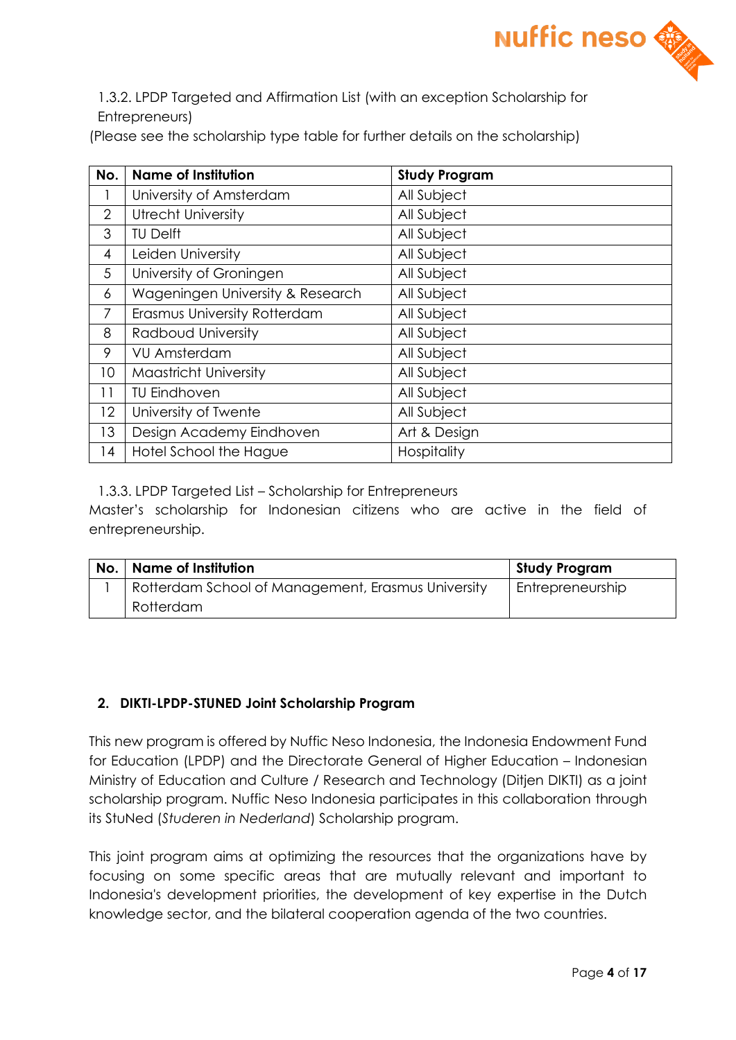

1.3.2. LPDP Targeted and Affirmation List (with an exception Scholarship for Entrepreneurs)

(Please see the scholarship type table for further details on the scholarship)

| No.             | <b>Name of Institution</b>       | <b>Study Program</b> |
|-----------------|----------------------------------|----------------------|
|                 | University of Amsterdam          | All Subject          |
| $\overline{2}$  | <b>Utrecht University</b>        | All Subject          |
| 3               | <b>TU Delft</b>                  | All Subject          |
| $\overline{4}$  | Leiden University                | All Subject          |
| 5               | University of Groningen          | All Subject          |
| 6               | Wageningen University & Research | All Subject          |
| $\overline{7}$  | Erasmus University Rotterdam     | All Subject          |
| 8               | Radboud University               | All Subject          |
| 9               | <b>VU Amsterdam</b>              | All Subject          |
| 10              | <b>Maastricht University</b>     | All Subject          |
| 11              | <b>TU Eindhoven</b>              | All Subject          |
| 12 <sup>2</sup> | University of Twente             | All Subject          |
| 13              | Design Academy Eindhoven         | Art & Design         |
| 14              | Hotel School the Hague           | Hospitality          |

1.3.3. LPDP Targeted List – Scholarship for Entrepreneurs

Master's scholarship for Indonesian citizens who are active in the field of entrepreneurship.

| No. | Name of Institution                                | <b>Study Program</b> |
|-----|----------------------------------------------------|----------------------|
|     | Rotterdam School of Management, Erasmus University | Entrepreneurship     |
|     | Rotterdam                                          |                      |

### **2. DIKTI-LPDP-STUNED Joint Scholarship Program**

This new program is offered by Nuffic Neso Indonesia, the Indonesia Endowment Fund for Education (LPDP) and the Directorate General of Higher Education – Indonesian Ministry of Education and Culture / Research and Technology (Ditjen DIKTI) as a joint scholarship program. Nuffic Neso Indonesia participates in this collaboration through its StuNed (*Studeren in Nederland*) Scholarship program.

This joint program aims at optimizing the resources that the organizations have by focusing on some specific areas that are mutually relevant and important to Indonesia's development priorities, the development of key expertise in the Dutch knowledge sector, and the bilateral cooperation agenda of the two countries.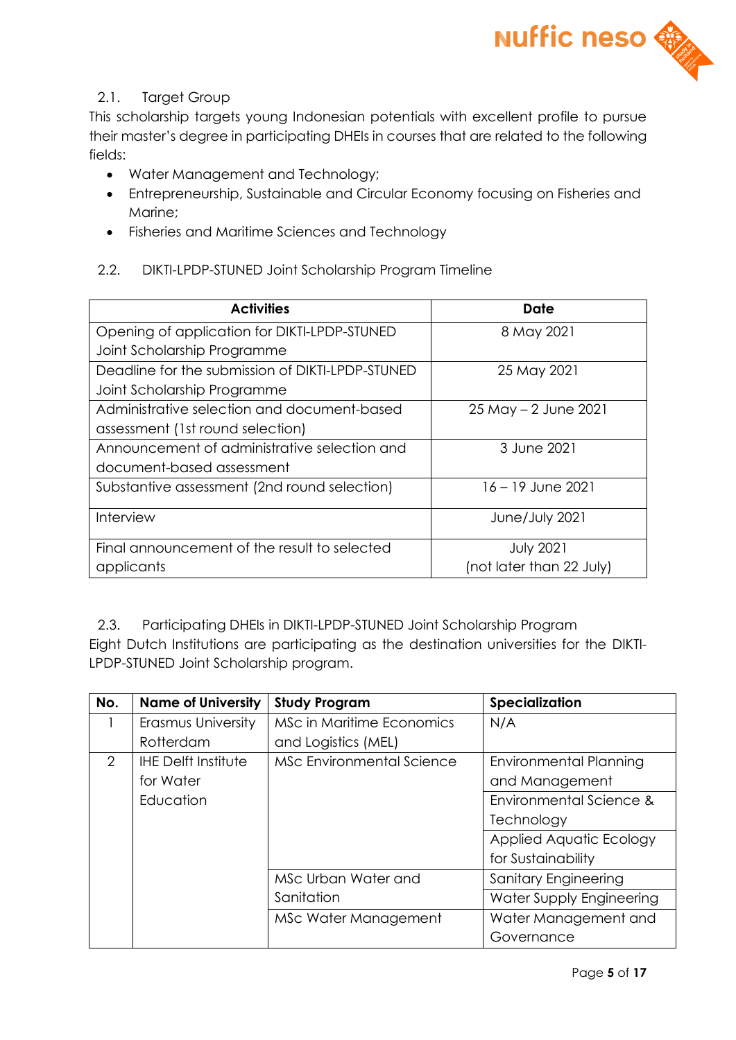

## 2.1. Target Group

This scholarship targets young Indonesian potentials with excellent profile to pursue their master's degree in participating DHEIs in courses that are related to the following fields:

- Water Management and Technology;
- Entrepreneurship, Sustainable and Circular Economy focusing on Fisheries and Marine;
- Fisheries and Maritime Sciences and Technology

### 2.2. DIKTI-LPDP-STUNED Joint Scholarship Program Timeline

| <b>Activities</b>                                | Date                     |
|--------------------------------------------------|--------------------------|
| Opening of application for DIKTI-LPDP-STUNED     | 8 May 2021               |
| Joint Scholarship Programme                      |                          |
| Deadline for the submission of DIKTI-LPDP-STUNED | 25 May 2021              |
| Joint Scholarship Programme                      |                          |
| Administrative selection and document-based      | 25 May - 2 June 2021     |
| assessment (1st round selection)                 |                          |
| Announcement of administrative selection and     | 3 June 2021              |
| document-based assessment                        |                          |
| Substantive assessment (2nd round selection)     | $16 - 19$ June 2021      |
| Interview                                        | June/July 2021           |
| Final announcement of the result to selected     | <b>July 2021</b>         |
| applicants                                       | (not later than 22 July) |

2.3. Participating DHEIs in DIKTI-LPDP-STUNED Joint Scholarship Program Eight Dutch Institutions are participating as the destination universities for the DIKTI-LPDP-STUNED Joint Scholarship program.

| No. | <b>Name of University</b>  | <b>Study Program</b>             | Specialization                |
|-----|----------------------------|----------------------------------|-------------------------------|
|     | Erasmus University         | MSc in Maritime Economics        | N/A                           |
|     | Rotterdam                  | and Logistics (MEL)              |                               |
| 2   | <b>IHE Delft Institute</b> | <b>MSc Environmental Science</b> | <b>Environmental Planning</b> |
|     | for Water                  |                                  | and Management                |
|     | Education                  |                                  | Environmental Science &       |
|     |                            |                                  | Technology                    |
|     |                            |                                  | Applied Aquatic Ecology       |
|     |                            |                                  | for Sustainability            |
|     |                            | MSc Urban Water and              | <b>Sanitary Engineering</b>   |
|     |                            | Sanitation                       | Water Supply Engineering      |
|     |                            | MSc Water Management             | Water Management and          |
|     |                            |                                  | Governance                    |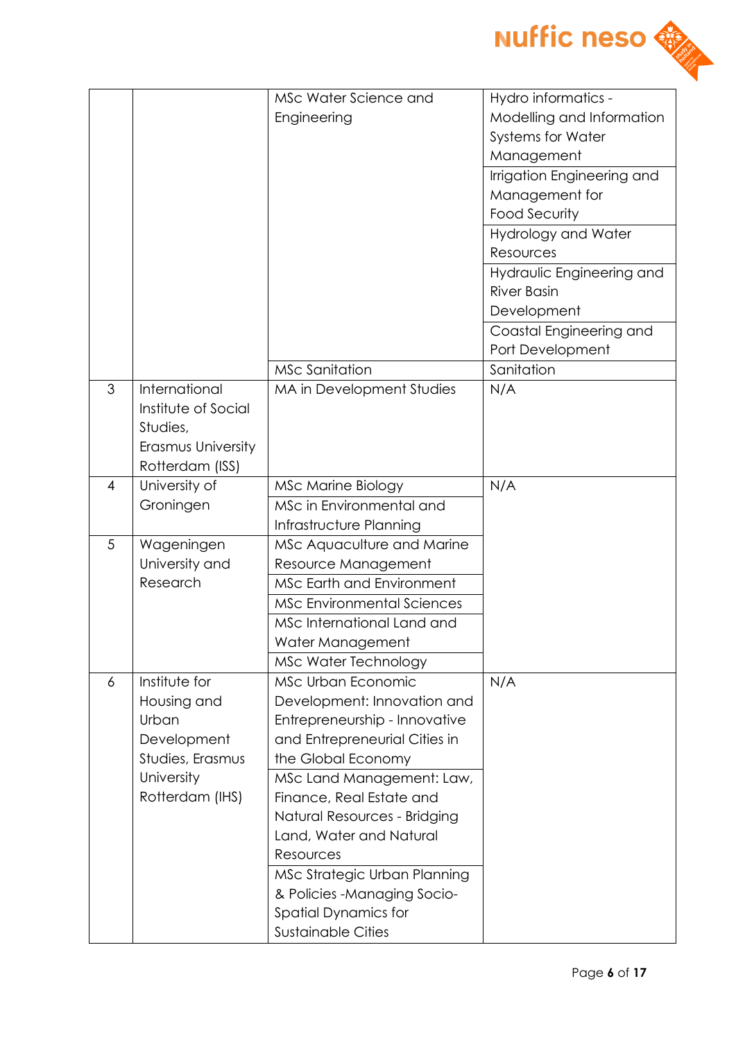

|   |                                                                                                           | MSc Water Science and<br>Engineering                                                                                                                                                                                                                                                                                                                                                                   | Hydro informatics -<br>Modelling and Information<br><b>Systems for Water</b><br>Management<br>Irrigation Engineering and<br>Management for<br><b>Food Security</b><br>Hydrology and Water<br>Resources |
|---|-----------------------------------------------------------------------------------------------------------|--------------------------------------------------------------------------------------------------------------------------------------------------------------------------------------------------------------------------------------------------------------------------------------------------------------------------------------------------------------------------------------------------------|--------------------------------------------------------------------------------------------------------------------------------------------------------------------------------------------------------|
|   |                                                                                                           |                                                                                                                                                                                                                                                                                                                                                                                                        | Hydraulic Engineering and<br><b>River Basin</b><br>Development<br>Coastal Engineering and<br>Port Development                                                                                          |
| 3 | International<br>Institute of Social<br>Studies,<br>Erasmus University<br>Rotterdam (ISS)                 | <b>MSc Sanitation</b><br>MA in Development Studies                                                                                                                                                                                                                                                                                                                                                     | Sanitation<br>N/A                                                                                                                                                                                      |
| 4 | University of<br>Groningen                                                                                | <b>MSc Marine Biology</b><br>MSc in Environmental and<br>Infrastructure Planning                                                                                                                                                                                                                                                                                                                       | N/A                                                                                                                                                                                                    |
| 5 | Wageningen<br>University and<br>Research                                                                  | MSc Aquaculture and Marine<br>Resource Management<br><b>MSc Earth and Environment</b><br><b>MSc Environmental Sciences</b><br>MSc International Land and<br>Water Management<br>MSc Water Technology                                                                                                                                                                                                   |                                                                                                                                                                                                        |
| 6 | Institute for<br>Housing and<br>Urban<br>Development<br>Studies, Erasmus<br>University<br>Rotterdam (IHS) | MSc Urban Economic<br>Development: Innovation and<br>Entrepreneurship - Innovative<br>and Entrepreneurial Cities in<br>the Global Economy<br>MSc Land Management: Law,<br>Finance, Real Estate and<br>Natural Resources - Bridging<br>Land, Water and Natural<br>Resources<br>MSc Strategic Urban Planning<br>& Policies - Managing Socio-<br><b>Spatial Dynamics for</b><br><b>Sustainable Cities</b> | N/A                                                                                                                                                                                                    |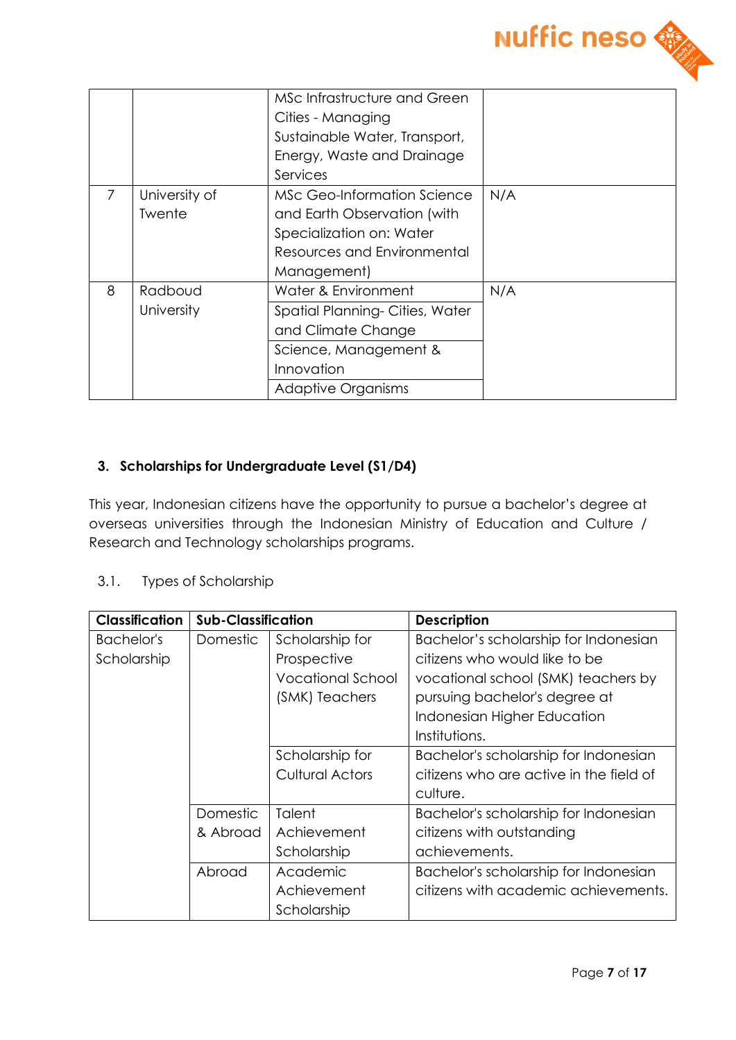

|   |               | MSc Infrastructure and Green   |     |
|---|---------------|--------------------------------|-----|
|   |               | Cities - Managing              |     |
|   |               | Sustainable Water, Transport,  |     |
|   |               | Energy, Waste and Drainage     |     |
|   |               | Services                       |     |
|   | University of | MSc Geo-Information Science    | N/A |
|   | Twente        | and Earth Observation (with    |     |
|   |               | Specialization on: Water       |     |
|   |               | Resources and Environmental    |     |
|   |               | Management)                    |     |
| 8 | Radboud       | Water & Environment            | N/A |
|   | University    | Spatial Planning-Cities, Water |     |
|   |               | and Climate Change             |     |
|   |               | Science, Management &          |     |
|   |               | Innovation                     |     |
|   |               | <b>Adaptive Organisms</b>      |     |

### **3. Scholarships for Undergraduate Level (S1/D4)**

This year, Indonesian citizens have the opportunity to pursue a bachelor's degree at overseas universities through the Indonesian Ministry of Education and Culture / Research and Technology scholarships programs.

### 3.1. Types of Scholarship

| <b>Classification</b> | <b>Sub-Classification</b> |                          | <b>Description</b>                      |
|-----------------------|---------------------------|--------------------------|-----------------------------------------|
| Bachelor's            | Domestic                  | Scholarship for          | Bachelor's scholarship for Indonesian   |
| Scholarship           |                           | Prospective              | citizens who would like to be           |
|                       |                           | <b>Vocational School</b> | vocational school (SMK) teachers by     |
|                       |                           | (SMK) Teachers           | pursuing bachelor's degree at           |
|                       |                           |                          | Indonesian Higher Education             |
|                       |                           |                          | Institutions.                           |
|                       |                           | Scholarship for          | Bachelor's scholarship for Indonesian   |
|                       |                           | <b>Cultural Actors</b>   | citizens who are active in the field of |
|                       |                           |                          | culture.                                |
|                       | Domestic                  | Talent                   | Bachelor's scholarship for Indonesian   |
|                       | & Abroad                  | Achievement              | citizens with outstanding               |
|                       |                           | Scholarship              | achievements.                           |
|                       | Abroad                    | Academic                 | Bachelor's scholarship for Indonesian   |
|                       |                           | Achievement              | citizens with academic achievements.    |
|                       |                           | Scholarship              |                                         |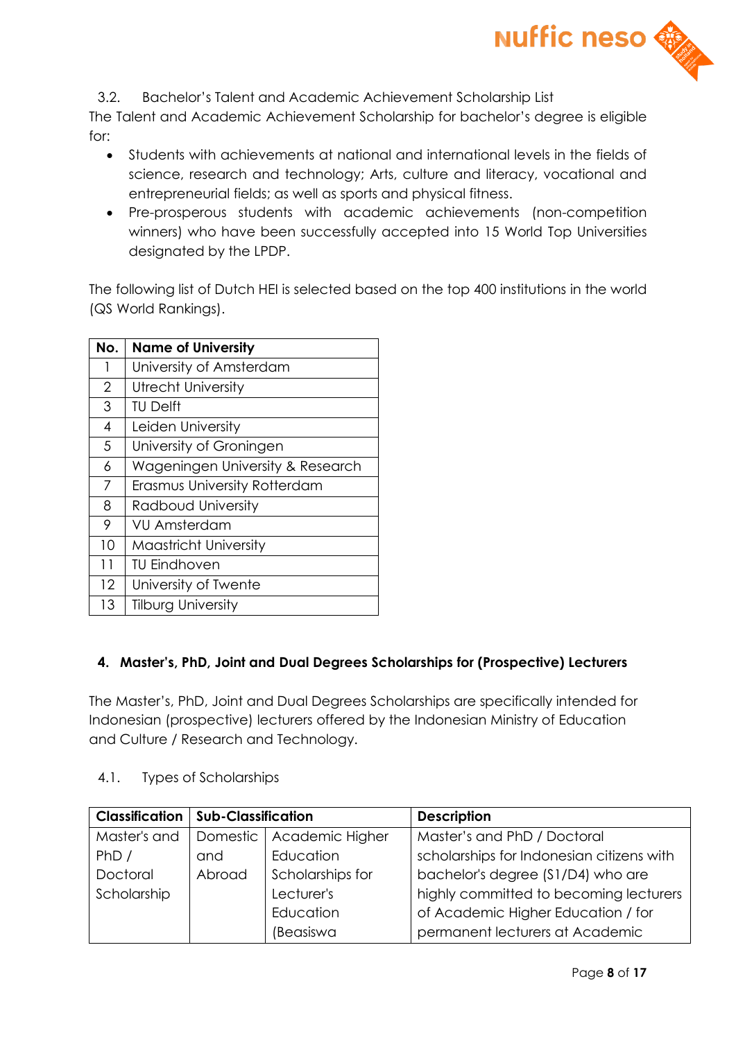

3.2. Bachelor's Talent and Academic Achievement Scholarship List

The Talent and Academic Achievement Scholarship for bachelor's degree is eligible for:

- Students with achievements at national and international levels in the fields of science, research and technology; Arts, culture and literacy, vocational and entrepreneurial fields; as well as sports and physical fitness.
- Pre-prosperous students with academic achievements (non-competition winners) who have been successfully accepted into 15 World Top Universities designated by the LPDP.

The following list of Dutch HEI is selected based on the top 400 institutions in the world (QS World Rankings).

| No.            | <b>Name of University</b>        |  |
|----------------|----------------------------------|--|
| 1              | University of Amsterdam          |  |
| $\overline{2}$ | <b>Utrecht University</b>        |  |
| 3              | <b>TU Delft</b>                  |  |
| $\overline{4}$ | Leiden University                |  |
| 5              | University of Groningen          |  |
| 6              | Wageningen University & Research |  |
| 7              | Erasmus University Rotterdam     |  |
| 8              | Radboud University               |  |
| 9              | VU Amsterdam                     |  |
| 10             | <b>Maastricht University</b>     |  |
| 11             | <b>TU Eindhoven</b>              |  |
| 12             | University of Twente             |  |
| 13             | <b>Tilburg University</b>        |  |

# **4. Master's, PhD, Joint and Dual Degrees Scholarships for (Prospective) Lecturers**

The Master's, PhD, Joint and Dual Degrees Scholarships are specifically intended for Indonesian (prospective) lecturers offered by the Indonesian Ministry of Education and Culture / Research and Technology.

4.1. Types of Scholarships

|              | <b>Classification   Sub-Classification</b> |                            | <b>Description</b>                        |
|--------------|--------------------------------------------|----------------------------|-------------------------------------------|
| Master's and |                                            | Domestic   Academic Higher | Master's and PhD / Doctoral               |
| PhD/         | and                                        | Education                  | scholarships for Indonesian citizens with |
| Doctoral     | Abroad                                     | Scholarships for           | bachelor's degree (\$1/D4) who are        |
| Scholarship  |                                            | Lecturer's                 | highly committed to becoming lecturers    |
|              |                                            | Education                  | of Academic Higher Education / for        |
|              |                                            | (Beasiswa                  | permanent lecturers at Academic           |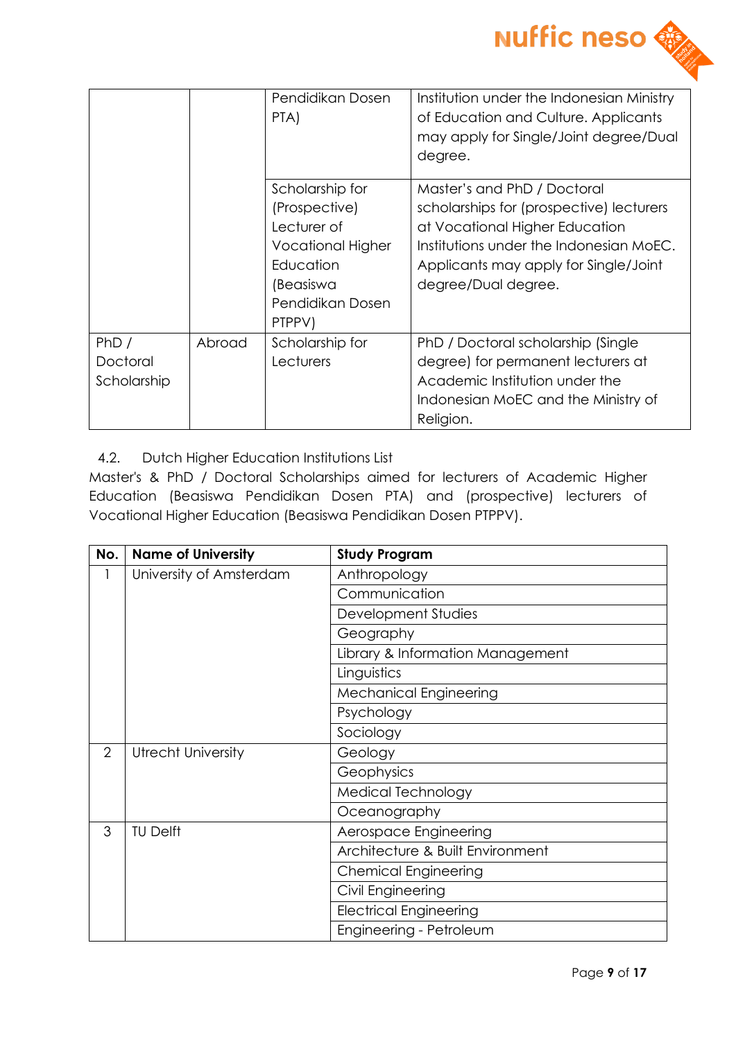

|                                 |        | Pendidikan Dosen<br>PTA)                                                                                                            | Institution under the Indonesian Ministry<br>of Education and Culture. Applicants<br>may apply for Single/Joint degree/Dual<br>degree.                                                                               |
|---------------------------------|--------|-------------------------------------------------------------------------------------------------------------------------------------|----------------------------------------------------------------------------------------------------------------------------------------------------------------------------------------------------------------------|
|                                 |        | Scholarship for<br>(Prospective)<br>Lecturer of<br><b>Vocational Higher</b><br>Education<br>(Beasiswa<br>Pendidikan Dosen<br>PTPPV) | Master's and PhD / Doctoral<br>scholarships for (prospective) lecturers<br>at Vocational Higher Education<br>Institutions under the Indonesian MoEC.<br>Applicants may apply for Single/Joint<br>degree/Dual degree. |
| PhD/<br>Doctoral<br>Scholarship | Abroad | Scholarship for<br>Lecturers                                                                                                        | PhD / Doctoral scholarship (Single<br>degree) for permanent lecturers at<br>Academic Institution under the<br>Indonesian MoEC and the Ministry of<br>Religion.                                                       |

# 4.2. Dutch Higher Education Institutions List

Master's & PhD / Doctoral Scholarships aimed for lecturers of Academic Higher Education (Beasiswa Pendidikan Dosen PTA) and (prospective) lecturers of Vocational Higher Education (Beasiswa Pendidikan Dosen PTPPV).

| No.            | <b>Name of University</b> | <b>Study Program</b>             |
|----------------|---------------------------|----------------------------------|
| 1              | University of Amsterdam   | Anthropology                     |
|                |                           | Communication                    |
|                |                           | Development Studies              |
|                |                           | Geography                        |
|                |                           | Library & Information Management |
|                |                           | Linguistics                      |
|                |                           | <b>Mechanical Engineering</b>    |
|                |                           | Psychology                       |
|                |                           | Sociology                        |
| $\overline{2}$ | <b>Utrecht University</b> | Geology                          |
|                |                           | Geophysics                       |
|                |                           | Medical Technology               |
|                |                           | Oceanography                     |
| 3              | <b>TU Delft</b>           | Aerospace Engineering            |
|                |                           | Architecture & Built Environment |
|                |                           | <b>Chemical Engineering</b>      |
|                |                           | Civil Engineering                |
|                |                           | <b>Electrical Engineering</b>    |
|                |                           | Engineering - Petroleum          |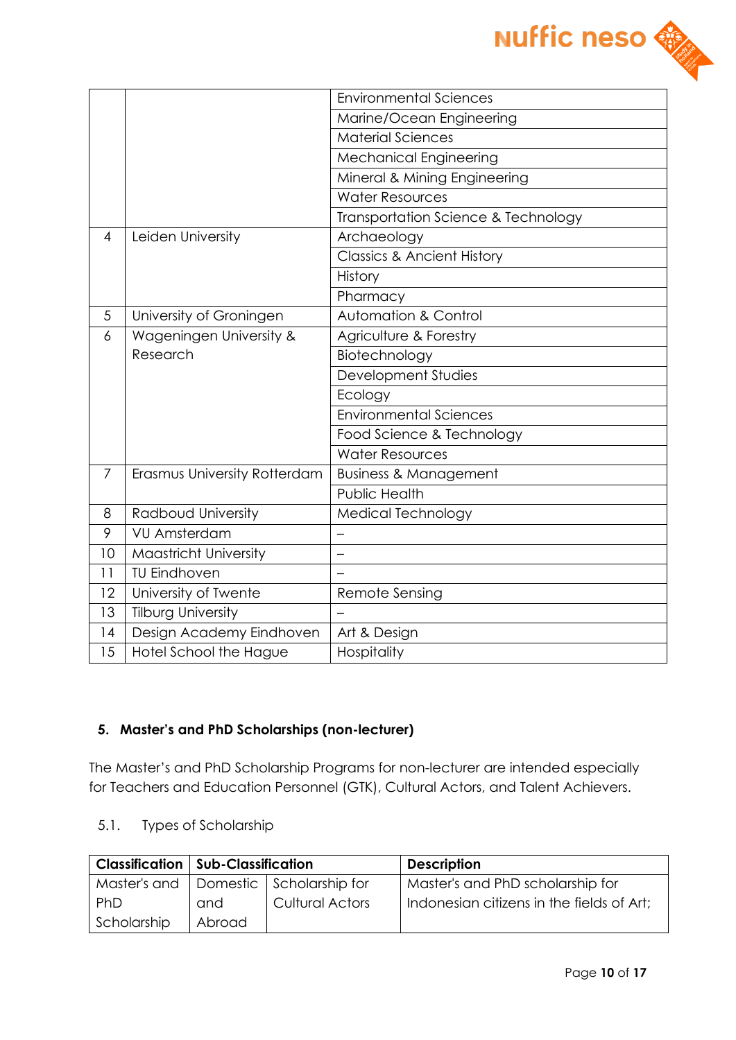

|                |                              | <b>Environmental Sciences</b>         |  |  |
|----------------|------------------------------|---------------------------------------|--|--|
|                |                              | Marine/Ocean Engineering              |  |  |
|                |                              | <b>Material Sciences</b>              |  |  |
|                |                              | <b>Mechanical Engineering</b>         |  |  |
|                |                              | Mineral & Mining Engineering          |  |  |
|                |                              | <b>Water Resources</b>                |  |  |
|                |                              | Transportation Science & Technology   |  |  |
| $\overline{4}$ | Leiden University            | Archaeology                           |  |  |
|                |                              | <b>Classics &amp; Ancient History</b> |  |  |
|                |                              | History                               |  |  |
|                |                              | Pharmacy                              |  |  |
| 5              | University of Groningen      | <b>Automation &amp; Control</b>       |  |  |
| 6              | Wageningen University &      | Agriculture & Forestry                |  |  |
|                | Research                     | Biotechnology                         |  |  |
|                |                              | Development Studies                   |  |  |
|                |                              | Ecology                               |  |  |
|                |                              | <b>Environmental Sciences</b>         |  |  |
|                |                              | Food Science & Technology             |  |  |
|                |                              | <b>Water Resources</b>                |  |  |
| 7              | Erasmus University Rotterdam | <b>Business &amp; Management</b>      |  |  |
|                |                              | <b>Public Health</b>                  |  |  |
| 8              | Radboud University           | Medical Technology                    |  |  |
| 9              | <b>VU Amsterdam</b>          | —                                     |  |  |
| 10             | Maastricht University        |                                       |  |  |
| 11             | <b>TU Eindhoven</b>          |                                       |  |  |
| 12             | University of Twente         | Remote Sensing                        |  |  |
| 13             | <b>Tilburg University</b>    |                                       |  |  |
| 14             | Design Academy Eindhoven     | Art & Design                          |  |  |
| 15             | Hotel School the Hague       | Hospitality                           |  |  |

### **5. Master's and PhD Scholarships (non-lecturer)**

The Master's and PhD Scholarship Programs for non-lecturer are intended especially for Teachers and Education Personnel (GTK), Cultural Actors, and Talent Achievers.

5.1. Types of Scholarship

|             | <b>Classification   Sub-Classification</b> |                                           | <b>Description</b>                        |
|-------------|--------------------------------------------|-------------------------------------------|-------------------------------------------|
|             |                                            | Master's and   Domestic   Scholarship for | Master's and PhD scholarship for          |
| l PhD       | and                                        | <b>Cultural Actors</b>                    | Indonesian citizens in the fields of Art; |
| Scholarship | Abroad                                     |                                           |                                           |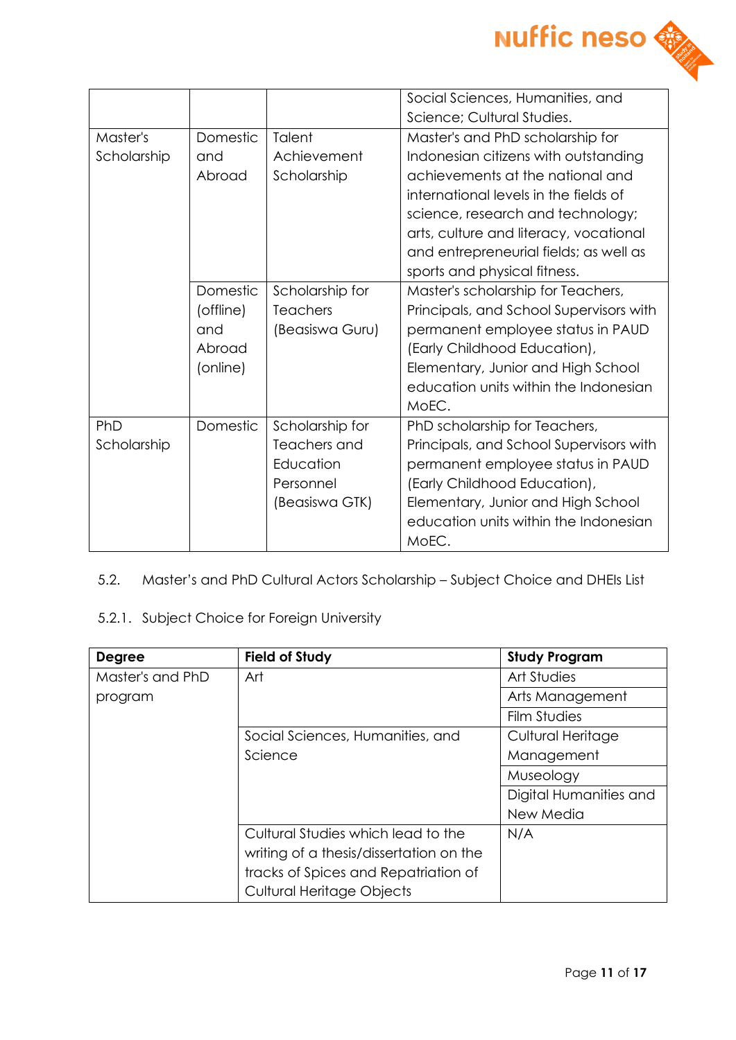

|             |           |                 | Social Sciences, Humanities, and        |
|-------------|-----------|-----------------|-----------------------------------------|
|             |           |                 | Science; Cultural Studies.              |
| Master's    | Domestic  | Talent          | Master's and PhD scholarship for        |
| Scholarship | and       | Achievement     | Indonesian citizens with outstanding    |
|             | Abroad    | Scholarship     | achievements at the national and        |
|             |           |                 | international levels in the fields of   |
|             |           |                 | science, research and technology;       |
|             |           |                 | arts, culture and literacy, vocational  |
|             |           |                 | and entrepreneurial fields; as well as  |
|             |           |                 | sports and physical fitness.            |
|             | Domestic  | Scholarship for | Master's scholarship for Teachers,      |
|             | (offline) | <b>Teachers</b> | Principals, and School Supervisors with |
|             | and       | (Beasiswa Guru) | permanent employee status in PAUD       |
|             | Abroad    |                 | (Early Childhood Education),            |
|             | (online)  |                 | Elementary, Junior and High School      |
|             |           |                 | education units within the Indonesian   |
|             |           |                 | MoEC.                                   |
| PhD         | Domestic  | Scholarship for | PhD scholarship for Teachers,           |
| Scholarship |           | Teachers and    | Principals, and School Supervisors with |
|             |           | Education       | permanent employee status in PAUD       |
|             |           | Personnel       | (Early Childhood Education),            |
|             |           | (Beasiswa GTK)  | Elementary, Junior and High School      |
|             |           |                 | education units within the Indonesian   |
|             |           |                 | MoEC.                                   |

5.2. Master's and PhD Cultural Actors Scholarship – Subject Choice and DHEIs List

# 5.2.1. Subject Choice for Foreign University

| <b>Degree</b>    | <b>Field of Study</b>                   | <b>Study Program</b>   |
|------------------|-----------------------------------------|------------------------|
| Master's and PhD | Art                                     | Art Studies            |
| program          |                                         | Arts Management        |
|                  |                                         | Film Studies           |
|                  | Social Sciences, Humanities, and        | Cultural Heritage      |
|                  | Science                                 | Management             |
|                  |                                         | Museology              |
|                  |                                         | Digital Humanities and |
|                  |                                         | New Media              |
|                  | Cultural Studies which lead to the      | N/A                    |
|                  | writing of a thesis/dissertation on the |                        |
|                  | tracks of Spices and Repatriation of    |                        |
|                  | Cultural Heritage Objects               |                        |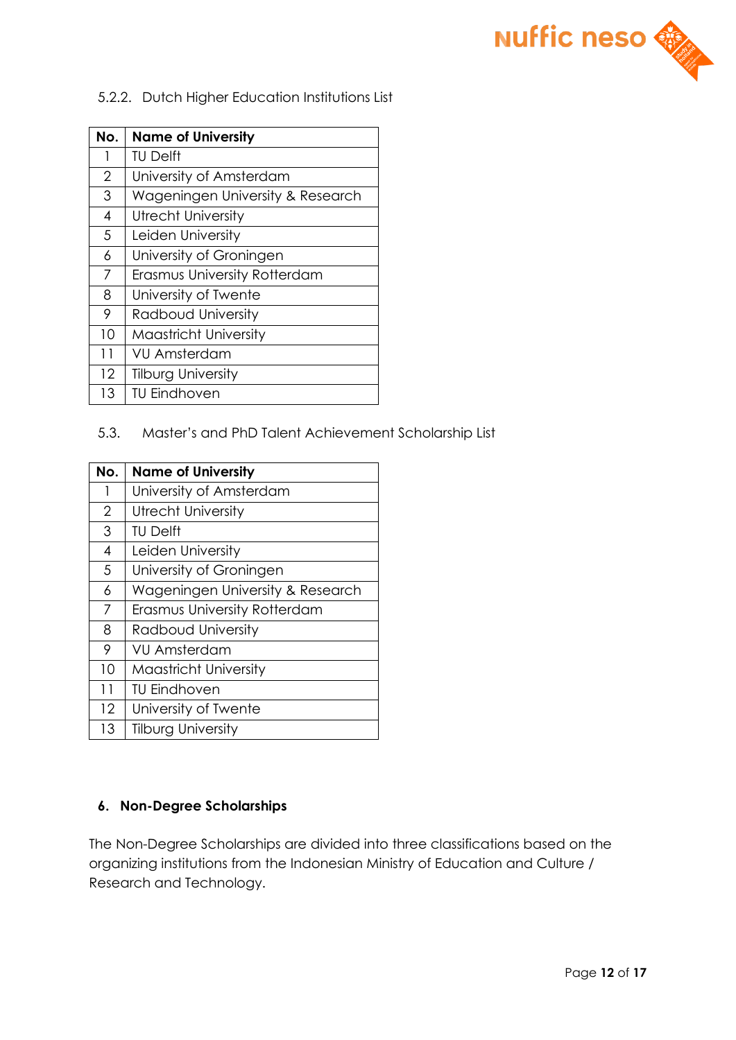

#### 5.2.2. Dutch Higher Education Institutions List

| No.            | <b>Name of University</b>        |  |  |
|----------------|----------------------------------|--|--|
| 1              | <b>TU Delft</b>                  |  |  |
| $\overline{2}$ | University of Amsterdam          |  |  |
| 3              | Wageningen University & Research |  |  |
| 4              | <b>Utrecht University</b>        |  |  |
| 5              | Leiden University                |  |  |
| 6              | University of Groningen          |  |  |
| 7              | Erasmus University Rotterdam     |  |  |
| 8              | University of Twente             |  |  |
| 9              | Radboud University               |  |  |
| 10             | <b>Maastricht University</b>     |  |  |
| 11             | VU Amsterdam                     |  |  |
| 12             | <b>Tilburg University</b>        |  |  |
| 13             | <b>TU Eindhoven</b>              |  |  |

## 5.3. Master's and PhD Talent Achievement Scholarship List

| No.            | <b>Name of University</b>        |  |
|----------------|----------------------------------|--|
| 1              | University of Amsterdam          |  |
| $\overline{2}$ | Utrecht University               |  |
| 3              | <b>TU Delft</b>                  |  |
| 4              | Leiden University                |  |
| 5              | University of Groningen          |  |
| 6              | Wageningen University & Research |  |
| 7              | Erasmus University Rotterdam     |  |
| 8              | Radboud University               |  |
| 9              | <b>VU Amsterdam</b>              |  |
| 10             | <b>Maastricht University</b>     |  |
| 11             | <b>TU Eindhoven</b>              |  |
| 12             | University of Twente             |  |
| 13             | <b>Tilburg University</b>        |  |

### **6. Non-Degree Scholarships**

The Non-Degree Scholarships are divided into three classifications based on the organizing institutions from the Indonesian Ministry of Education and Culture / Research and Technology.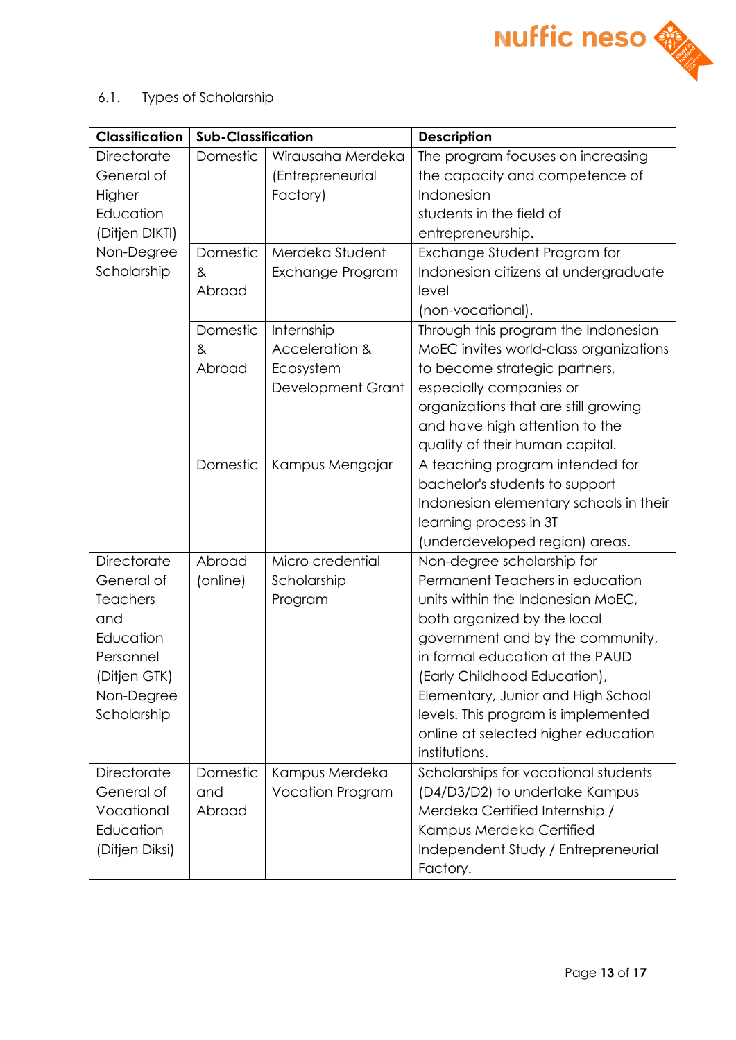

6.1. Types of Scholarship

| <b>Classification</b>                                                                                                      | <b>Sub-Classification</b> |                                                                | <b>Description</b>                                                                                                                                                                                                                                                                                                                                                            |
|----------------------------------------------------------------------------------------------------------------------------|---------------------------|----------------------------------------------------------------|-------------------------------------------------------------------------------------------------------------------------------------------------------------------------------------------------------------------------------------------------------------------------------------------------------------------------------------------------------------------------------|
| <b>Directorate</b><br>General of<br>Higher<br>Education<br>(Ditjen DIKTI)                                                  | Domestic                  | Wirausaha Merdeka<br>(Entrepreneurial<br>Factory)              | The program focuses on increasing<br>the capacity and competence of<br>Indonesian<br>students in the field of<br>entrepreneurship.                                                                                                                                                                                                                                            |
| Non-Degree<br>Scholarship                                                                                                  | Domestic<br>&<br>Abroad   | Merdeka Student<br>Exchange Program                            | Exchange Student Program for<br>Indonesian citizens at undergraduate<br>level<br>(non-vocational).                                                                                                                                                                                                                                                                            |
|                                                                                                                            | Domestic<br>&<br>Abroad   | Internship<br>Acceleration &<br>Ecosystem<br>Development Grant | Through this program the Indonesian<br>MoEC invites world-class organizations<br>to become strategic partners,<br>especially companies or<br>organizations that are still growing<br>and have high attention to the<br>quality of their human capital.                                                                                                                        |
|                                                                                                                            | Domestic                  | Kampus Mengajar                                                | A teaching program intended for<br>bachelor's students to support<br>Indonesian elementary schools in their<br>learning process in 3T<br>(underdeveloped region) areas.                                                                                                                                                                                                       |
| <b>Directorate</b><br>General of<br>Teachers<br>and<br>Education<br>Personnel<br>(Ditjen GTK)<br>Non-Degree<br>Scholarship | Abroad<br>(online)        | Micro credential<br>Scholarship<br>Program                     | Non-degree scholarship for<br>Permanent Teachers in education<br>units within the Indonesian MoEC,<br>both organized by the local<br>government and by the community,<br>in formal education at the PAUD<br>(Early Childhood Education),<br>Elementary, Junior and High School<br>levels. This program is implemented<br>online at selected higher education<br>institutions. |
| Directorate<br>General of<br>Vocational<br>Education<br>(Ditjen Diksi)                                                     | Domestic<br>and<br>Abroad | Kampus Merdeka<br><b>Vocation Program</b>                      | Scholarships for vocational students<br>(D4/D3/D2) to undertake Kampus<br>Merdeka Certified Internship /<br>Kampus Merdeka Certified<br>Independent Study / Entrepreneurial<br>Factory.                                                                                                                                                                                       |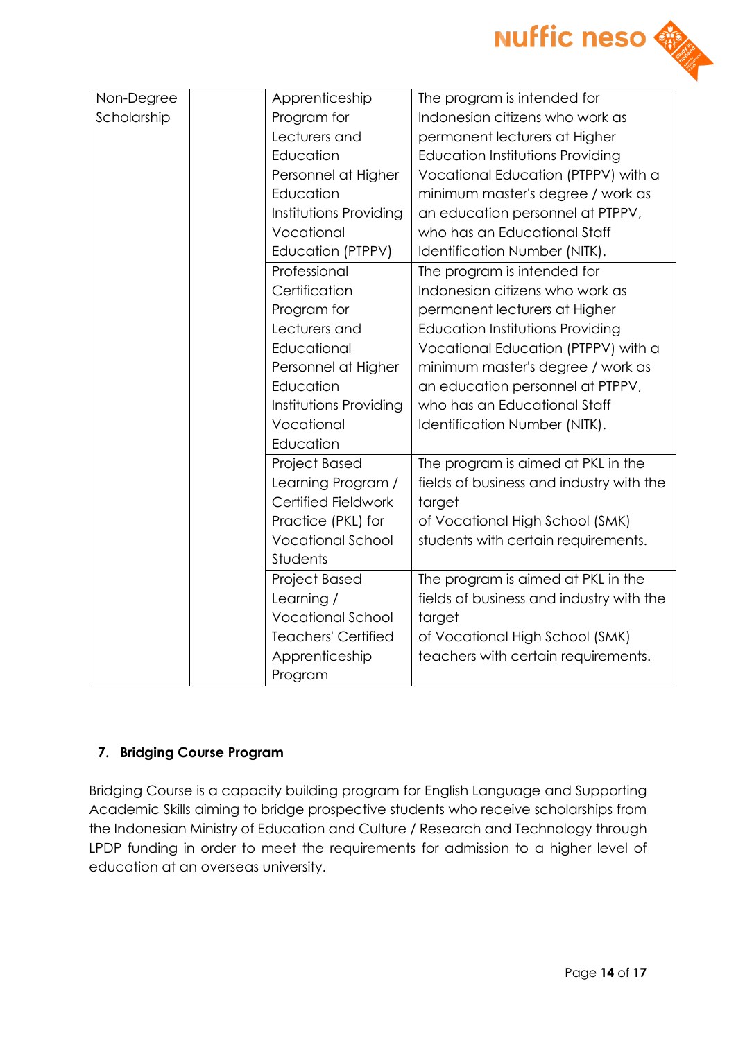

| Non-Degree  | Apprenticeship             | The program is intended for              |
|-------------|----------------------------|------------------------------------------|
| Scholarship | Program for                | Indonesian citizens who work as          |
|             | Lecturers and              | permanent lecturers at Higher            |
|             | Education                  | <b>Education Institutions Providing</b>  |
|             | Personnel at Higher        | Vocational Education (PTPPV) with a      |
|             | Education                  | minimum master's degree / work as        |
|             | Institutions Providing     | an education personnel at PTPPV,         |
|             | Vocational                 | who has an Educational Staff             |
|             | Education (PTPPV)          | Identification Number (NITK).            |
|             | Professional               | The program is intended for              |
|             | Certification              | Indonesian citizens who work as          |
|             | Program for                | permanent lecturers at Higher            |
|             | Lecturers and              | Education Institutions Providing         |
|             | Educational                | Vocational Education (PTPPV) with a      |
|             | Personnel at Higher        | minimum master's degree / work as        |
|             | Education                  | an education personnel at PTPPV,         |
|             | Institutions Providing     | who has an Educational Staff             |
|             | Vocational                 | Identification Number (NITK).            |
|             | Education                  |                                          |
|             | <b>Project Based</b>       | The program is aimed at PKL in the       |
|             | Learning Program /         | fields of business and industry with the |
|             | Certified Fieldwork        | target                                   |
|             | Practice (PKL) for         | of Vocational High School (SMK)          |
|             | <b>Vocational School</b>   | students with certain requirements.      |
|             | Students                   |                                          |
|             | <b>Project Based</b>       | The program is aimed at PKL in the       |
|             | Learning /                 | fields of business and industry with the |
|             | <b>Vocational School</b>   | target                                   |
|             | <b>Teachers' Certified</b> | of Vocational High School (SMK)          |
|             | Apprenticeship             | teachers with certain requirements.      |
|             | Program                    |                                          |

### **7. Bridging Course Program**

Bridging Course is a capacity building program for English Language and Supporting Academic Skills aiming to bridge prospective students who receive scholarships from the Indonesian Ministry of Education and Culture / Research and Technology through LPDP funding in order to meet the requirements for admission to a higher level of education at an overseas university.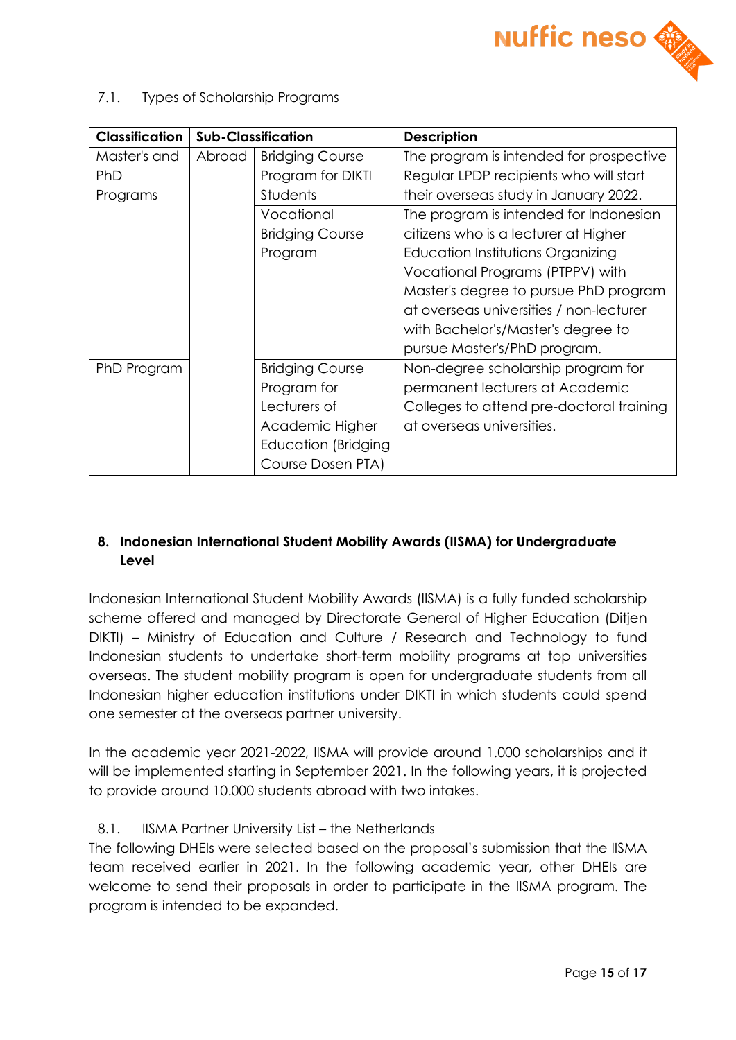

7.1. Types of Scholarship Programs

| <b>Classification</b> | <b>Sub-Classification</b> |                        | <b>Description</b>                       |
|-----------------------|---------------------------|------------------------|------------------------------------------|
| Master's and          | Abroad                    | <b>Bridging Course</b> | The program is intended for prospective  |
| PhD                   |                           | Program for DIKTI      | Regular LPDP recipients who will start   |
| Programs              |                           | <b>Students</b>        | their overseas study in January 2022.    |
|                       |                           | Vocational             | The program is intended for Indonesian   |
|                       |                           | <b>Bridging Course</b> | citizens who is a lecturer at Higher     |
|                       |                           | Program                | Education Institutions Organizing        |
|                       |                           |                        | Vocational Programs (PTPPV) with         |
|                       |                           |                        | Master's degree to pursue PhD program    |
|                       |                           |                        | at overseas universities / non-lecturer  |
|                       |                           |                        | with Bachelor's/Master's degree to       |
|                       |                           |                        | pursue Master's/PhD program.             |
| PhD Program           |                           | <b>Bridging Course</b> | Non-degree scholarship program for       |
|                       |                           | Program for            | permanent lecturers at Academic          |
|                       |                           | Lecturers of           | Colleges to attend pre-doctoral training |
|                       |                           | Academic Higher        | at overseas universities.                |
|                       |                           | Education (Bridging    |                                          |
|                       |                           | Course Dosen PTA)      |                                          |

# **8. Indonesian International Student Mobility Awards (IISMA) for Undergraduate Level**

Indonesian International Student Mobility Awards (IISMA) is a fully funded scholarship scheme offered and managed by Directorate General of Higher Education (Ditjen DIKTI) – Ministry of Education and Culture / Research and Technology to fund Indonesian students to undertake short-term mobility programs at top universities overseas. The student mobility program is open for undergraduate students from all Indonesian higher education institutions under DIKTI in which students could spend one semester at the overseas partner university.

In the academic year 2021-2022, IISMA will provide around 1.000 scholarships and it will be implemented starting in September 2021. In the following years, it is projected to provide around 10.000 students abroad with two intakes.

# 8.1. IISMA Partner University List – the Netherlands

The following DHEIs were selected based on the proposal's submission that the IISMA team received earlier in 2021. In the following academic year, other DHEIs are welcome to send their proposals in order to participate in the IISMA program. The program is intended to be expanded.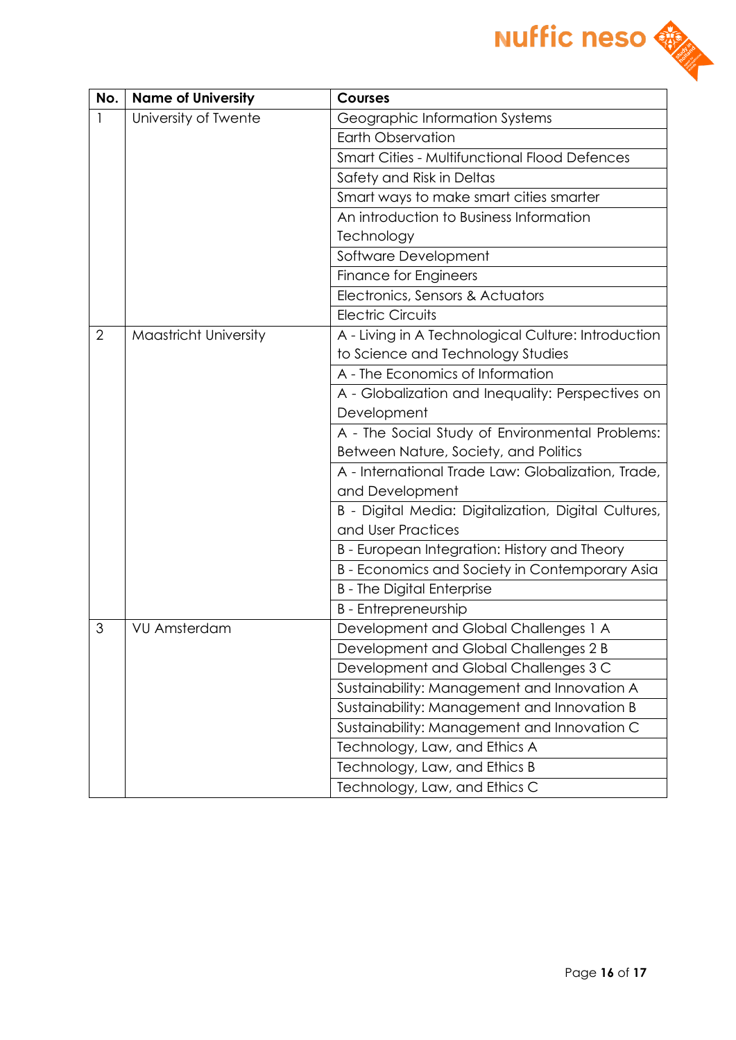

| No.            | <b>Name of University</b> | <b>Courses</b>                                       |
|----------------|---------------------------|------------------------------------------------------|
| 1              | University of Twente      | Geographic Information Systems                       |
|                |                           | <b>Earth Observation</b>                             |
|                |                           | <b>Smart Cities - Multifunctional Flood Defences</b> |
|                |                           | Safety and Risk in Deltas                            |
|                |                           | Smart ways to make smart cities smarter              |
|                |                           | An introduction to Business Information              |
|                |                           | Technology                                           |
|                |                           | Software Development                                 |
|                |                           | <b>Finance for Engineers</b>                         |
|                |                           | Electronics, Sensors & Actuators                     |
|                |                           | <b>Electric Circuits</b>                             |
| $\overline{2}$ | Maastricht University     | A - Living in A Technological Culture: Introduction  |
|                |                           | to Science and Technology Studies                    |
|                |                           | A - The Economics of Information                     |
|                |                           | A - Globalization and Inequality: Perspectives on    |
|                |                           | Development                                          |
|                |                           | A - The Social Study of Environmental Problems:      |
|                |                           | Between Nature, Society, and Politics                |
|                |                           | A - International Trade Law: Globalization, Trade,   |
|                |                           | and Development                                      |
|                |                           | B - Digital Media: Digitalization, Digital Cultures, |
|                |                           | and User Practices                                   |
|                |                           | B - European Integration: History and Theory         |
|                |                           | B - Economics and Society in Contemporary Asia       |
|                |                           | <b>B</b> - The Digital Enterprise                    |
|                |                           | <b>B</b> - Entrepreneurship                          |
| 3              | <b>VU Amsterdam</b>       | Development and Global Challenges 1 A                |
|                |                           | Development and Global Challenges 2 B                |
|                |                           | Development and Global Challenges 3 C                |
|                |                           | Sustainability: Management and Innovation A          |
|                |                           | Sustainability: Management and Innovation B          |
|                |                           | Sustainability: Management and Innovation C          |
|                |                           | Technology, Law, and Ethics A                        |
|                |                           | Technology, Law, and Ethics B                        |
|                |                           | Technology, Law, and Ethics C                        |